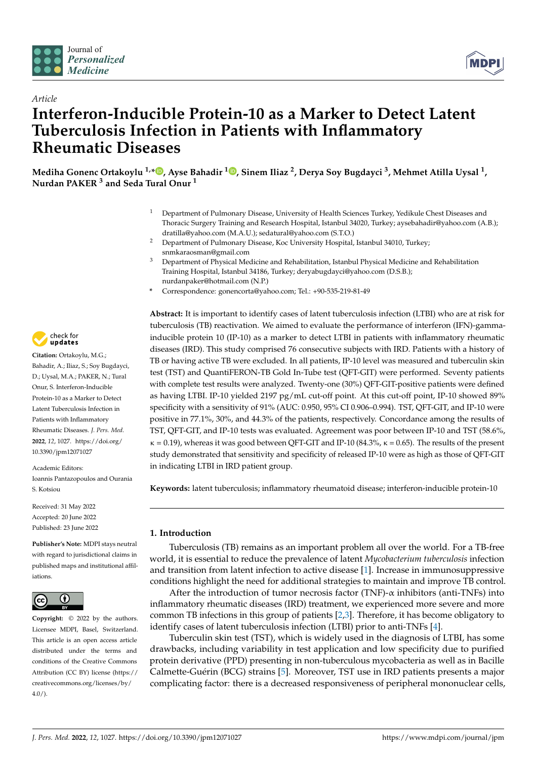



# *Article* **Interferon-Inducible Protein-10 as a Marker to Detect Latent Tuberculosis Infection in Patients with Inflammatory Rheumatic Diseases**

**Mediha Gonenc Ortakoylu 1,[\\*](https://orcid.org/0000-0001-6106-0080) , Ayse Bahadir <sup>1</sup> [,](https://orcid.org/0000-0002-7006-5550) Sinem Iliaz <sup>2</sup> , Derya Soy Bugdayci <sup>3</sup> , Mehmet Atilla Uysal <sup>1</sup> , Nurdan PAKER <sup>3</sup> and Seda Tural Onur <sup>1</sup>**

- <sup>1</sup> Department of Pulmonary Disease, University of Health Sciences Turkey, Yedikule Chest Diseases and Thoracic Surgery Training and Research Hospital, Istanbul 34020, Turkey; aysebahadir@yahoo.com (A.B.); dratilla@yahoo.com (M.A.U.); sedatural@yahoo.com (S.T.O.)
- <sup>2</sup> Department of Pulmonary Disease, Koc University Hospital, Istanbul 34010, Turkey; snmkaraosman@gmail.com
- <sup>3</sup> Department of Physical Medicine and Rehabilitation, Istanbul Physical Medicine and Rehabilitation Training Hospital, Istanbul 34186, Turkey; deryabugdayci@yahoo.com (D.S.B.); nurdanpaker@hotmail.com (N.P.)
- **\*** Correspondence: gonencorta@yahoo.com; Tel.: +90-535-219-81-49

**Abstract:** It is important to identify cases of latent tuberculosis infection (LTBI) who are at risk for tuberculosis (TB) reactivation. We aimed to evaluate the performance of interferon (IFN)-gammainducible protein 10 (IP-10) as a marker to detect LTBI in patients with inflammatory rheumatic diseases (IRD). This study comprised 76 consecutive subjects with IRD. Patients with a history of TB or having active TB were excluded. In all patients, IP-10 level was measured and tuberculin skin test (TST) and QuantiFERON-TB Gold In-Tube test (QFT-GIT) were performed. Seventy patients with complete test results were analyzed. Twenty-one (30%) QFT-GIT-positive patients were defined as having LTBI. IP-10 yielded 2197 pg/mL cut-off point. At this cut-off point, IP-10 showed 89% specificity with a sensitivity of 91% (AUC: 0.950, 95% CI 0.906–0.994). TST, QFT-GIT, and IP-10 were positive in 77.1%, 30%, and 44.3% of the patients, respectively. Concordance among the results of TST, QFT-GIT, and IP-10 tests was evaluated. Agreement was poor between IP-10 and TST (58.6%,  $\kappa = 0.19$ ), whereas it was good between QFT-GIT and IP-10 (84.3%,  $\kappa = 0.65$ ). The results of the present study demonstrated that sensitivity and specificity of released IP-10 were as high as those of QFT-GIT in indicating LTBI in IRD patient group.

**Keywords:** latent tuberculosis; inflammatory rheumatoid disease; interferon-inducible protein-10

# **1. Introduction**

Tuberculosis (TB) remains as an important problem all over the world. For a TB-free world, it is essential to reduce the prevalence of latent *Mycobacterium tuberculosis* infection and transition from latent infection to active disease [\[1\]](#page-7-0). Increase in immunosuppressive conditions highlight the need for additional strategies to maintain and improve TB control.

After the introduction of tumor necrosis factor (TNF)-α inhibitors (anti-TNFs) into inflammatory rheumatic diseases (IRD) treatment, we experienced more severe and more common TB infections in this group of patients [\[2](#page-7-1)[,3\]](#page-7-2). Therefore, it has become obligatory to identify cases of latent tuberculosis infection (LTBI) prior to anti-TNFs [\[4\]](#page-7-3).

Tuberculin skin test (TST), which is widely used in the diagnosis of LTBI, has some drawbacks, including variability in test application and low specificity due to purified protein derivative (PPD) presenting in non-tuberculous mycobacteria as well as in Bacille Calmette-Guérin (BCG) strains [\[5\]](#page-7-4). Moreover, TST use in IRD patients presents a major complicating factor: there is a decreased responsiveness of peripheral mononuclear cells,



**Citation:** Ortakoylu, M.G.; Bahadir, A.; Iliaz, S.; Soy Bugdayci, D.; Uysal, M.A.; PAKER, N.; Tural Onur, S. Interferon-Inducible Protein-10 as a Marker to Detect Latent Tuberculosis Infection in Patients with Inflammatory Rheumatic Diseases. *J. Pers. Med.* **2022**, *12*, 1027. [https://doi.org/](https://doi.org/10.3390/jpm12071027) [10.3390/jpm12071027](https://doi.org/10.3390/jpm12071027)

Academic Editors: Ioannis Pantazopoulos and Ourania S. Kotsiou

Received: 31 May 2022 Accepted: 20 June 2022 Published: 23 June 2022

**Publisher's Note:** MDPI stays neutral with regard to jurisdictional claims in published maps and institutional affiliations.



**Copyright:** © 2022 by the authors. Licensee MDPI, Basel, Switzerland. This article is an open access article distributed under the terms and conditions of the Creative Commons Attribution (CC BY) license [\(https://](https://creativecommons.org/licenses/by/4.0/) [creativecommons.org/licenses/by/](https://creativecommons.org/licenses/by/4.0/)  $4.0/$ ).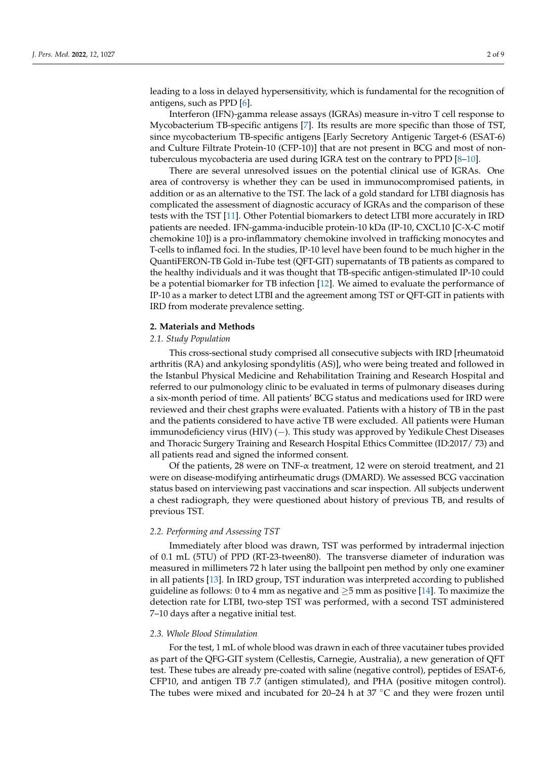leading to a loss in delayed hypersensitivity, which is fundamental for the recognition of antigens, such as PPD [\[6\]](#page-7-5).

Interferon (IFN)-gamma release assays (IGRAs) measure in-vitro T cell response to Mycobacterium TB-specific antigens [\[7\]](#page-7-6). Its results are more specific than those of TST, since mycobacterium TB-specific antigens [Early Secretory Antigenic Target-6 (ESAT-6) and Culture Filtrate Protein-10 (CFP-10)] that are not present in BCG and most of nontuberculous mycobacteria are used during IGRA test on the contrary to PPD [\[8](#page-7-7)[–10\]](#page-7-8).

There are several unresolved issues on the potential clinical use of IGRAs. One area of controversy is whether they can be used in immunocompromised patients, in addition or as an alternative to the TST. The lack of a gold standard for LTBI diagnosis has complicated the assessment of diagnostic accuracy of IGRAs and the comparison of these tests with the TST [\[11\]](#page-7-9). Other Potential biomarkers to detect LTBI more accurately in IRD patients are needed. IFN-gamma-inducible protein-10 kDa (IP-10, CXCL10 [C-X-C motif chemokine 10]) is a pro-inflammatory chemokine involved in trafficking monocytes and T-cells to inflamed foci. In the studies, IP-10 level have been found to be much higher in the QuantiFERON-TB Gold in-Tube test (QFT-GIT) supernatants of TB patients as compared to the healthy individuals and it was thought that TB-specific antigen-stimulated IP-10 could be a potential biomarker for TB infection [\[12\]](#page-7-10). We aimed to evaluate the performance of IP-10 as a marker to detect LTBI and the agreement among TST or QFT-GIT in patients with IRD from moderate prevalence setting.

#### **2. Materials and Methods**

#### *2.1. Study Population*

This cross-sectional study comprised all consecutive subjects with IRD [rheumatoid arthritis (RA) and ankylosing spondylitis (AS)], who were being treated and followed in the Istanbul Physical Medicine and Rehabilitation Training and Research Hospital and referred to our pulmonology clinic to be evaluated in terms of pulmonary diseases during a six-month period of time. All patients' BCG status and medications used for IRD were reviewed and their chest graphs were evaluated. Patients with a history of TB in the past and the patients considered to have active TB were excluded. All patients were Human immunodeficiency virus (HIV) (−). This study was approved by Yedikule Chest Diseases and Thoracic Surgery Training and Research Hospital Ethics Committee (ID:2017/ 73) and all patients read and signed the informed consent.

Of the patients, 28 were on TNF-α treatment, 12 were on steroid treatment, and 21 were on disease-modifying antirheumatic drugs (DMARD). We assessed BCG vaccination status based on interviewing past vaccinations and scar inspection. All subjects underwent a chest radiograph, they were questioned about history of previous TB, and results of previous TST.

#### *2.2. Performing and Assessing TST*

Immediately after blood was drawn, TST was performed by intradermal injection of 0.1 mL (5TU) of PPD (RT-23-tween80). The transverse diameter of induration was measured in millimeters 72 h later using the ballpoint pen method by only one examiner in all patients [\[13\]](#page-7-11). In IRD group, TST induration was interpreted according to published guideline as follows: 0 to 4 mm as negative and  $\geq$ 5 mm as positive [\[14\]](#page-7-12). To maximize the detection rate for LTBI, two-step TST was performed, with a second TST administered 7–10 days after a negative initial test.

#### *2.3. Whole Blood Stimulation*

For the test, 1 mL of whole blood was drawn in each of three vacutainer tubes provided as part of the QFG-GIT system (Cellestis, Carnegie, Australia), a new generation of QFT test. These tubes are already pre-coated with saline (negative control), peptides of ESAT-6, CFP10, and antigen TB 7.7 (antigen stimulated), and PHA (positive mitogen control). The tubes were mixed and incubated for 20–24 h at 37  $°C$  and they were frozen until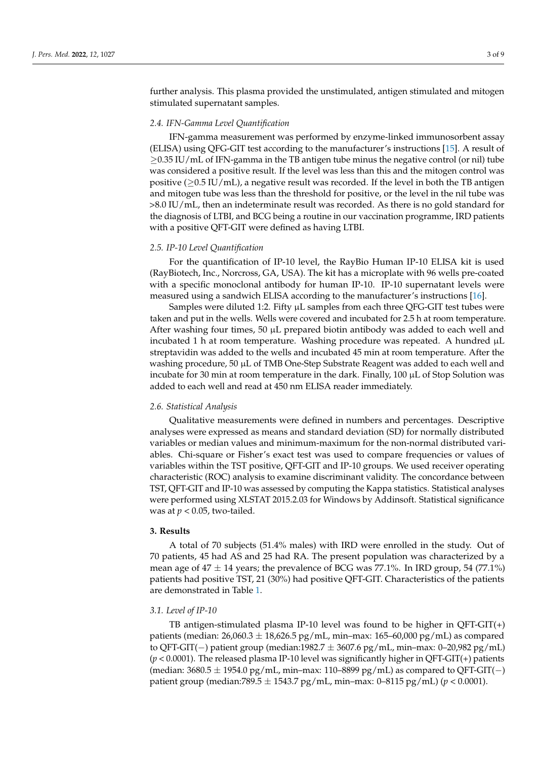further analysis. This plasma provided the unstimulated, antigen stimulated and mitogen stimulated supernatant samples.

#### *2.4. IFN-Gamma Level Quantification*

IFN-gamma measurement was performed by enzyme-linked immunosorbent assay (ELISA) using QFG-GIT test according to the manufacturer's instructions [\[15\]](#page-7-13). A result of ≥0.35 IU/mL of IFN-gamma in the TB antigen tube minus the negative control (or nil) tube was considered a positive result. If the level was less than this and the mitogen control was positive ( $\geq$ 0.5 IU/mL), a negative result was recorded. If the level in both the TB antigen and mitogen tube was less than the threshold for positive, or the level in the nil tube was >8.0 IU/mL, then an indeterminate result was recorded. As there is no gold standard for the diagnosis of LTBI, and BCG being a routine in our vaccination programme, IRD patients with a positive QFT-GIT were defined as having LTBI.

#### *2.5. IP-10 Level Quantification*

For the quantification of IP-10 level, the RayBio Human IP-10 ELISA kit is used (RayBiotech, Inc., Norcross, GA, USA). The kit has a microplate with 96 wells pre-coated with a specific monoclonal antibody for human IP-10. IP-10 supernatant levels were measured using a sandwich ELISA according to the manufacturer's instructions [\[16\]](#page-7-14).

Samples were diluted 1:2. Fifty  $\mu$ L samples from each three QFG-GIT test tubes were taken and put in the wells. Wells were covered and incubated for 2.5 h at room temperature. After washing four times, 50  $\mu$ L prepared biotin antibody was added to each well and incubated 1 h at room temperature. Washing procedure was repeated. A hundred µL streptavidin was added to the wells and incubated 45 min at room temperature. After the washing procedure, 50 µL of TMB One-Step Substrate Reagent was added to each well and incubate for 30 min at room temperature in the dark. Finally,  $100 \mu L$  of Stop Solution was added to each well and read at 450 nm ELISA reader immediately.

#### *2.6. Statistical Analysis*

Qualitative measurements were defined in numbers and percentages. Descriptive analyses were expressed as means and standard deviation (SD) for normally distributed variables or median values and minimum-maximum for the non-normal distributed variables. Chi-square or Fisher's exact test was used to compare frequencies or values of variables within the TST positive, QFT-GIT and IP-10 groups. We used receiver operating characteristic (ROC) analysis to examine discriminant validity. The concordance between TST, QFT-GIT and IP-10 was assessed by computing the Kappa statistics. Statistical analyses were performed using XLSTAT 2015.2.03 for Windows by Addinsoft. Statistical significance was at  $p < 0.05$ , two-tailed.

#### **3. Results**

A total of 70 subjects (51.4% males) with IRD were enrolled in the study. Out of 70 patients, 45 had AS and 25 had RA. The present population was characterized by a mean age of  $47 \pm 14$  years; the prevalence of BCG was 77.1%. In IRD group, 54 (77.1%) patients had positive TST, 21 (30%) had positive QFT-GIT. Characteristics of the patients are demonstrated in Table [1.](#page-3-0)

#### *3.1. Level of IP-10*

TB antigen-stimulated plasma IP-10 level was found to be higher in  $QFT-GIT(+)$ patients (median:  $26,060.3 \pm 18,626.5$  pg/mL, min–max:  $165-60,000$  pg/mL) as compared to QFT-GIT(−) patient group (median:1982.7  $\pm$  3607.6 pg/mL, min–max: 0–20,982 pg/mL) (*p* < 0.0001). The released plasma IP-10 level was significantly higher in QFT-GIT(+) patients (median:  $3680.5 \pm 1954.0$  pg/mL, min–max: 110–8899 pg/mL) as compared to QFT-GIT(-) patient group (median:789.5 ± 1543.7 pg/mL, min–max: 0–8115 pg/mL) (*p* < 0.0001).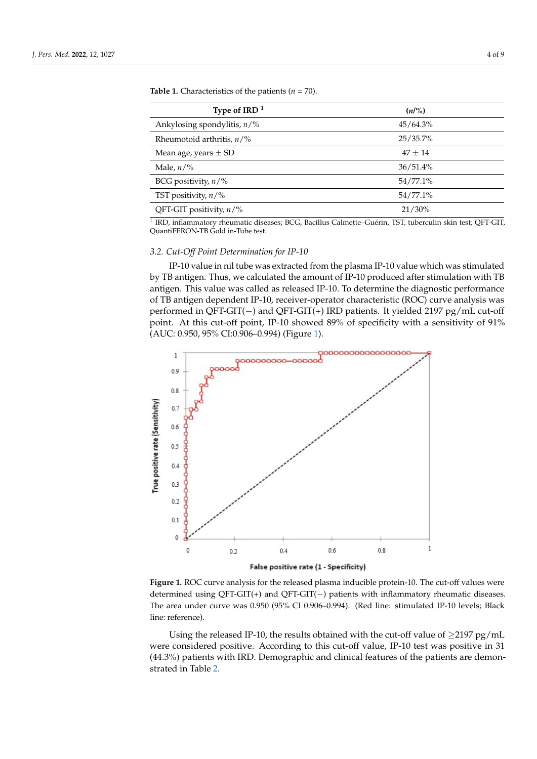| Type of IRD $1$                      | (n/%)     |  |
|--------------------------------------|-----------|--|
| Ankylosing spondylitis, $n/\%$       | 45/64.3%  |  |
| Rheumotoid arthritis, $n\frac{9}{6}$ | 25/35.7%  |  |
| Mean age, years $\pm$ SD             | $47 + 14$ |  |
| Male, $n/\%$                         | 36/51.4%  |  |
| BCG positivity, $n/\%$               | 54/77.1%  |  |
| TST positivity, $n/\%$               | 54/77.1%  |  |
| QFT-GIT positivity, $n/\%$           | 21/30%    |  |

QFT-GIT positivity, *n*/% 21/30%

<span id="page-3-0"></span>**Table 1.** Characteristics of the patients  $(n = 70)$ .

<sup>1</sup> IRD, inflammatory rheumatic diseases; BCG, Bacillus Calmette–Guérin, TST, tuberculin skin test; QFT-GIT, QuantiFERON-TB Gold in-Tube test.

# 3.2. Cut-Off Point Determination for IP-10

IP-10 value in nil tube was extracted from the plasma IP-10 value which was stimulated by TB antigen. Thus, we calculated the amount of IP-10 produced after stimulation with TB antigen. This value was called as released IP-10. To determine the diagnostic performance<br>and QTT-GIT(+) IRD patients. It yields. It yields. It yields. It is viewed 2000. of TB antigen dependent IP-10, receiver-operator characteristic (ROC) curve analysis was of TB anugen dependent in -10, receiver-operator characteristic (KOC) curve analysis was<br>performed in QFT-GIT(−) and QFT-GIT(+) IRD patients. It yielded 2197 pg/mL cut-off point. At this cut-off point, IP-10 showed 89% of specificity with a sensitivity of  $91\%$ (AUC: 0.950, 95% CI:0.906–0.994) (Figure [1\)](#page-3-1).

<span id="page-3-1"></span>

False positive rate (1 - Specificity)

determined using QFT-GIT(+) and QFT-GIT(−) patients with inflammatory rheumatic diseases. The area under curve was 0.950 (95% CI 0.906–0.994). (Red line: stimulated IP-10 levels; Black line: reference). **Figure 1.** ROC curve analysis for the released plasma inducible protein-10. The cut-off values were

Using the released IP-10, the results obtained with the cut-off value of  $\geq$ 2197 pg/mL were considered positive. According to this cut-off value, IP-10 test was positive in 31 (44.3%) patients with IRD. Demographic and clinical features of the patients are demonstrated in Table [2.](#page-4-0)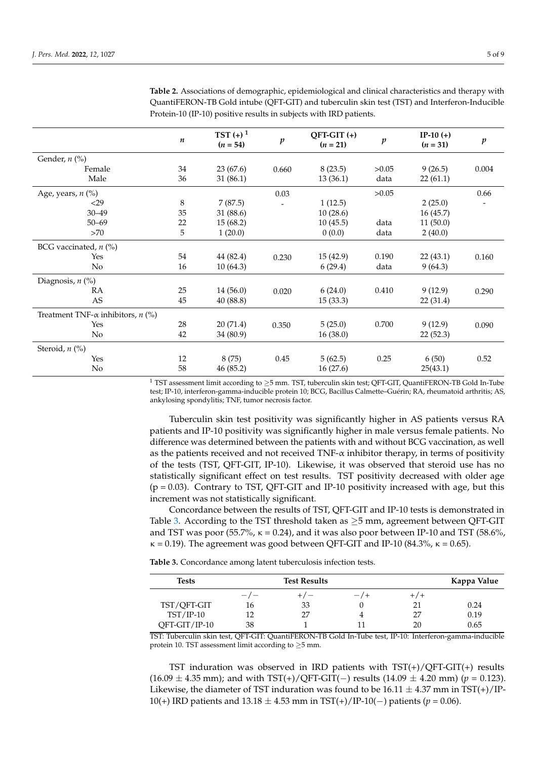|                                                  | n  | $TST (+)^1$<br>$(n = 54)$ | $\boldsymbol{p}$ | $QFT-GIT (+)$<br>$(n = 21)$ | $\boldsymbol{p}$ | $IP-10 (+)$<br>$(n = 31)$ | $\boldsymbol{p}$ |
|--------------------------------------------------|----|---------------------------|------------------|-----------------------------|------------------|---------------------------|------------------|
| Gender, $n$ (%)                                  |    |                           |                  |                             |                  |                           |                  |
| Female                                           | 34 | 23(67.6)                  | 0.660            | 8(23.5)                     | >0.05            | 9(26.5)                   | 0.004            |
| Male                                             | 36 | 31(86.1)                  |                  | 13(36.1)                    | data             | 22(61.1)                  |                  |
| Age, years, $n$ (%)                              |    |                           | 0.03             |                             | >0.05            |                           | 0.66             |
| $29$                                             | 8  | 7(87.5)                   |                  | 1(12.5)                     |                  | 2(25.0)                   |                  |
| $30 - 49$                                        | 35 | 31 (88.6)                 |                  | 10(28.6)                    |                  | 16(45.7)                  |                  |
| $50 - 69$                                        | 22 | 15(68.2)                  |                  | 10(45.5)                    | data             | 11(50.0)                  |                  |
| >70                                              | 5  | 1(20.0)                   |                  | 0(0.0)                      | data             | 2(40.0)                   |                  |
| BCG vaccinated, $n$ (%)                          |    |                           |                  |                             |                  |                           |                  |
| Yes                                              | 54 | 44 (82.4)                 | 0.230            | 15(42.9)                    | 0.190            | 22(43.1)                  | 0.160            |
| No.                                              | 16 | 10(64.3)                  |                  | 6(29.4)                     | data             | 9(64.3)                   |                  |
| Diagnosis, $n$ (%)                               |    |                           |                  |                             |                  |                           |                  |
| RA                                               | 25 | 14(56.0)                  | 0.020            | 6(24.0)                     | 0.410            | 9(12.9)                   | 0.290            |
| AS                                               | 45 | 40 (88.8)                 |                  | 15(33.3)                    |                  | 22 (31.4)                 |                  |
| Treatment TNF- $\alpha$ inhibitors, <i>n</i> (%) |    |                           |                  |                             |                  |                           |                  |
| Yes                                              | 28 | 20(71.4)                  | 0.350            | 5(25.0)                     | 0.700            | 9(12.9)                   | 0.090            |
| No.                                              | 42 | 34 (80.9)                 |                  | 16(38.0)                    |                  | 22(52.3)                  |                  |
| Steroid, $n$ (%)                                 |    |                           |                  |                             |                  |                           |                  |
| Yes                                              | 12 | 8(75)                     | 0.45             | 5(62.5)                     | 0.25             | 6(50)                     | 0.52             |
| No                                               | 58 | 46(85.2)                  |                  | 16(27.6)                    |                  | 25(43.1)                  |                  |

<span id="page-4-0"></span>**Table 2.** Associations of demographic, epidemiological and clinical characteristics and therapy with QuantiFERON-TB Gold intube (QFT-GIT) and tuberculin skin test (TST) and Interferon-Inducible Protein-10 (IP-10) positive results in subjects with IRD patients.

 $^1$  TST assessment limit according to  ${\geq}5$  mm. TST, tuberculin skin test; QFT-GIT, QuantiFERON-TB Gold In-Tube test; IP-10, interferon-gamma-inducible protein 10; BCG, Bacillus Calmette–Guérin; RA, rheumatoid arthritis; AS, ankylosing spondylitis; TNF, tumor necrosis factor.

Tuberculin skin test positivity was significantly higher in AS patients versus RA patients and IP-10 positivity was significantly higher in male versus female patients. No difference was determined between the patients with and without BCG vaccination, as well as the patients received and not received TNF-α inhibitor therapy, in terms of positivity of the tests (TST, QFT-GIT, IP-10). Likewise, it was observed that steroid use has no statistically significant effect on test results. TST positivity decreased with older age  $(p = 0.03)$ . Contrary to TST, QFT-GIT and IP-10 positivity increased with age, but this increment was not statistically significant.

Concordance between the results of TST, QFT-GIT and IP-10 tests is demonstrated in Table [3.](#page-4-1) According to the TST threshold taken as  $\geq$ 5 mm, agreement between QFT-GIT and TST was poor (55.7%,  $\kappa = 0.24$ ), and it was also poor between IP-10 and TST (58.6%,  $\kappa = 0.19$ ). The agreement was good between QFT-GIT and IP-10 (84.3%,  $\kappa = 0.65$ ).

<span id="page-4-1"></span>**Table 3.** Concordance among latent tuberculosis infection tests.

| Tests           |       | Kappa Value |      |       |      |
|-----------------|-------|-------------|------|-------|------|
|                 | $-1-$ | $+/-$       | $-7$ | $+/-$ |      |
| TST/OFT-GIT     | 16    | 33          |      | 21    | 0.24 |
| $TST/IP-10$     | 12    | 27          |      | 27    | 0.19 |
| $QFT-GIT/IP-10$ | 38    |             |      | 20    | 0.65 |

TST: Tuberculin skin test, QFT-GIT: QuantiFERON-TB Gold In-Tube test, IP-10: Interferon-gamma-inducible protein 10. TST assessment limit according to  $\geq$ 5 mm.

TST induration was observed in IRD patients with  $TST(+)/QFT-GIT(+)$  results  $(16.09 \pm 4.35 \text{ mm})$ ; and with TST(+)/QFT-GIT(-) results  $(14.09 \pm 4.20 \text{ mm})$  (*p* = 0.123). Likewise, the diameter of TST induration was found to be  $16.11 \pm 4.37$  mm in TST(+)/IP-10(+) IRD patients and 13.18 ± 4.53 mm in TST(+)/IP-10(−) patients (*p* = 0.06).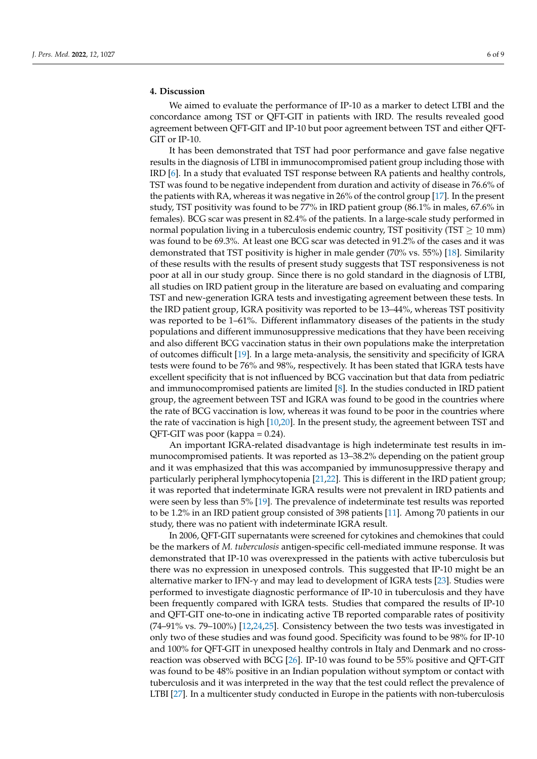## **4. Discussion**

We aimed to evaluate the performance of IP-10 as a marker to detect LTBI and the concordance among TST or QFT-GIT in patients with IRD. The results revealed good agreement between QFT-GIT and IP-10 but poor agreement between TST and either QFT-GIT or IP-10.

It has been demonstrated that TST had poor performance and gave false negative results in the diagnosis of LTBI in immunocompromised patient group including those with IRD [\[6\]](#page-7-5). In a study that evaluated TST response between RA patients and healthy controls, TST was found to be negative independent from duration and activity of disease in 76.6% of the patients with RA, whereas it was negative in 26% of the control group [\[17\]](#page-7-15). In the present study, TST positivity was found to be 77% in IRD patient group (86.1% in males, 67.6% in females). BCG scar was present in 82.4% of the patients. In a large-scale study performed in normal population living in a tuberculosis endemic country, TST positivity (TST  $\geq$  10 mm) was found to be 69.3%. At least one BCG scar was detected in 91.2% of the cases and it was demonstrated that TST positivity is higher in male gender (70% vs. 55%) [\[18\]](#page-7-16). Similarity of these results with the results of present study suggests that TST responsiveness is not poor at all in our study group. Since there is no gold standard in the diagnosis of LTBI, all studies on IRD patient group in the literature are based on evaluating and comparing TST and new-generation IGRA tests and investigating agreement between these tests. In the IRD patient group, IGRA positivity was reported to be 13–44%, whereas TST positivity was reported to be 1–61%. Different inflammatory diseases of the patients in the study populations and different immunosuppressive medications that they have been receiving and also different BCG vaccination status in their own populations make the interpretation of outcomes difficult [\[19\]](#page-7-17). In a large meta-analysis, the sensitivity and specificity of IGRA tests were found to be 76% and 98%, respectively. It has been stated that IGRA tests have excellent specificity that is not influenced by BCG vaccination but that data from pediatric and immunocompromised patients are limited [\[8\]](#page-7-7). In the studies conducted in IRD patient group, the agreement between TST and IGRA was found to be good in the countries where the rate of BCG vaccination is low, whereas it was found to be poor in the countries where the rate of vaccination is high [\[10,](#page-7-8)[20\]](#page-8-0). In the present study, the agreement between TST and QFT-GIT was poor (kappa = 0.24).

An important IGRA-related disadvantage is high indeterminate test results in immunocompromised patients. It was reported as 13–38.2% depending on the patient group and it was emphasized that this was accompanied by immunosuppressive therapy and particularly peripheral lymphocytopenia [\[21,](#page-8-1)[22\]](#page-8-2). This is different in the IRD patient group; it was reported that indeterminate IGRA results were not prevalent in IRD patients and were seen by less than 5% [\[19\]](#page-7-17). The prevalence of indeterminate test results was reported to be 1.2% in an IRD patient group consisted of 398 patients [\[11\]](#page-7-9). Among 70 patients in our study, there was no patient with indeterminate IGRA result.

In 2006, QFT-GIT supernatants were screened for cytokines and chemokines that could be the markers of *M. tuberculosis* antigen-specific cell-mediated immune response. It was demonstrated that IP-10 was overexpressed in the patients with active tuberculosis but there was no expression in unexposed controls. This suggested that IP-10 might be an alternative marker to IFN- $\gamma$  and may lead to development of IGRA tests [\[23\]](#page-8-3). Studies were performed to investigate diagnostic performance of IP-10 in tuberculosis and they have been frequently compared with IGRA tests. Studies that compared the results of IP-10 and QFT-GIT one-to-one in indicating active TB reported comparable rates of positivity (74–91% vs. 79–100%) [\[12](#page-7-10)[,24,](#page-8-4)[25\]](#page-8-5). Consistency between the two tests was investigated in only two of these studies and was found good. Specificity was found to be 98% for IP-10 and 100% for QFT-GIT in unexposed healthy controls in Italy and Denmark and no crossreaction was observed with BCG [\[26\]](#page-8-6). IP-10 was found to be 55% positive and QFT-GIT was found to be 48% positive in an Indian population without symptom or contact with tuberculosis and it was interpreted in the way that the test could reflect the prevalence of LTBI [\[27\]](#page-8-7). In a multicenter study conducted in Europe in the patients with non-tuberculosis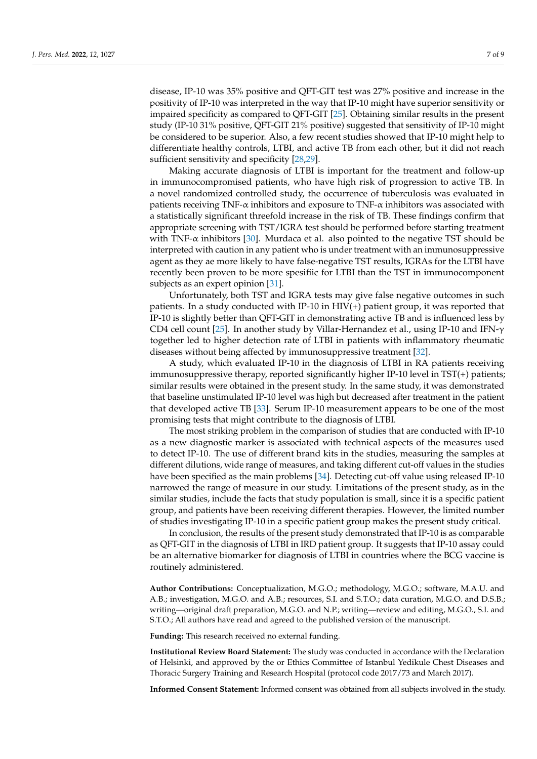disease, IP-10 was 35% positive and QFT-GIT test was 27% positive and increase in the positivity of IP-10 was interpreted in the way that IP-10 might have superior sensitivity or impaired specificity as compared to QFT-GIT [\[25\]](#page-8-5). Obtaining similar results in the present study (IP-10 31% positive, QFT-GIT 21% positive) suggested that sensitivity of IP-10 might be considered to be superior. Also, a few recent studies showed that IP-10 might help to differentiate healthy controls, LTBI, and active TB from each other, but it did not reach sufficient sensitivity and specificity [\[28](#page-8-8)[,29\]](#page-8-9).

Making accurate diagnosis of LTBI is important for the treatment and follow-up in immunocompromised patients, who have high risk of progression to active TB. In a novel randomized controlled study, the occurrence of tuberculosis was evaluated in patients receiving TNF- $\alpha$  inhibitors and exposure to TNF- $\alpha$  inhibitors was associated with a statistically significant threefold increase in the risk of TB. These findings confirm that appropriate screening with TST/IGRA test should be performed before starting treatment with TNF- $\alpha$  inhibitors [\[30\]](#page-8-10). Murdaca et al. also pointed to the negative TST should be interpreted with caution in any patient who is under treatment with an immunosuppressive agent as they ae more likely to have false-negative TST results, IGRAs for the LTBI have recently been proven to be more spesifiic for LTBI than the TST in immunocomponent subjects as an expert opinion [\[31\]](#page-8-11).

Unfortunately, both TST and IGRA tests may give false negative outcomes in such patients. In a study conducted with IP-10 in HIV(+) patient group, it was reported that IP-10 is slightly better than QFT-GIT in demonstrating active TB and is influenced less by CD4 cell count [\[25\]](#page-8-5). In another study by Villar-Hernandez et al., using IP-10 and IFN-γ together led to higher detection rate of LTBI in patients with inflammatory rheumatic diseases without being affected by immunosuppressive treatment [\[32\]](#page-8-12).

A study, which evaluated IP-10 in the diagnosis of LTBI in RA patients receiving immunosuppressive therapy, reported significantly higher IP-10 level in TST(+) patients; similar results were obtained in the present study. In the same study, it was demonstrated that baseline unstimulated IP-10 level was high but decreased after treatment in the patient that developed active TB [\[33\]](#page-8-13). Serum IP-10 measurement appears to be one of the most promising tests that might contribute to the diagnosis of LTBI.

The most striking problem in the comparison of studies that are conducted with IP-10 as a new diagnostic marker is associated with technical aspects of the measures used to detect IP-10. The use of different brand kits in the studies, measuring the samples at different dilutions, wide range of measures, and taking different cut-off values in the studies have been specified as the main problems [\[34\]](#page-8-14). Detecting cut-off value using released IP-10 narrowed the range of measure in our study. Limitations of the present study, as in the similar studies, include the facts that study population is small, since it is a specific patient group, and patients have been receiving different therapies. However, the limited number of studies investigating IP-10 in a specific patient group makes the present study critical.

In conclusion, the results of the present study demonstrated that IP-10 is as comparable as QFT-GIT in the diagnosis of LTBI in IRD patient group. It suggests that IP-10 assay could be an alternative biomarker for diagnosis of LTBI in countries where the BCG vaccine is routinely administered.

**Author Contributions:** Conceptualization, M.G.O.; methodology, M.G.O.; software, M.A.U. and A.B.; investigation, M.G.O. and A.B.; resources, S.I. and S.T.O.; data curation, M.G.O. and D.S.B.; writing—original draft preparation, M.G.O. and N.P.; writing—review and editing, M.G.O., S.I. and S.T.O.; All authors have read and agreed to the published version of the manuscript.

**Funding:** This research received no external funding.

**Institutional Review Board Statement:** The study was conducted in accordance with the Declaration of Helsinki, and approved by the or Ethics Committee of Istanbul Yedikule Chest Diseases and Thoracic Surgery Training and Research Hospital (protocol code 2017/73 and March 2017).

**Informed Consent Statement:** Informed consent was obtained from all subjects involved in the study.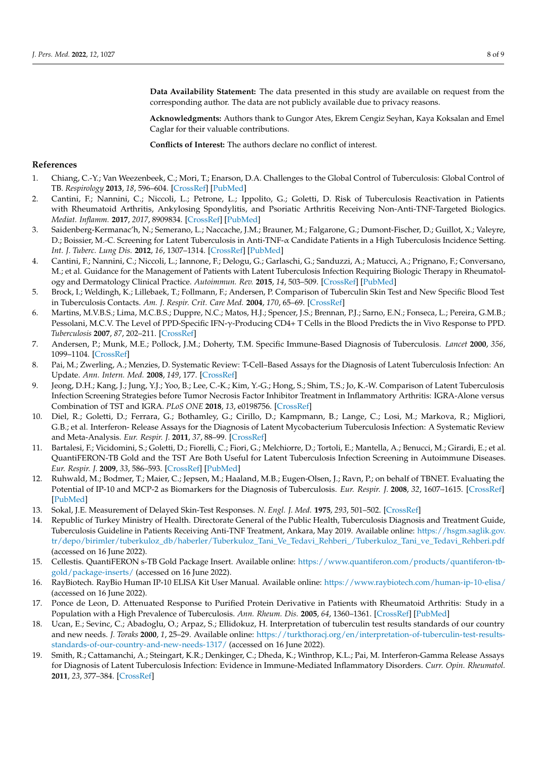**Data Availability Statement:** The data presented in this study are available on request from the corresponding author. The data are not publicly available due to privacy reasons.

**Acknowledgments:** Authors thank to Gungor Ates, Ekrem Cengiz Seyhan, Kaya Koksalan and Emel Caglar for their valuable contributions.

**Conflicts of Interest:** The authors declare no conflict of interest.

## **References**

- <span id="page-7-0"></span>1. Chiang, C.-Y.; Van Weezenbeek, C.; Mori, T.; Enarson, D.A. Challenges to the Global Control of Tuberculosis: Global Control of TB. *Respirology* **2013**, *18*, 596–604. [\[CrossRef\]](http://doi.org/10.1111/resp.12067) [\[PubMed\]](http://www.ncbi.nlm.nih.gov/pubmed/23551328)
- <span id="page-7-1"></span>2. Cantini, F.; Nannini, C.; Niccoli, L.; Petrone, L.; Ippolito, G.; Goletti, D. Risk of Tuberculosis Reactivation in Patients with Rheumatoid Arthritis, Ankylosing Spondylitis, and Psoriatic Arthritis Receiving Non-Anti-TNF-Targeted Biologics. *Mediat. Inflamm.* **2017**, *2017*, 8909834. [\[CrossRef\]](http://doi.org/10.1155/2017/8909834) [\[PubMed\]](http://www.ncbi.nlm.nih.gov/pubmed/28659665)
- <span id="page-7-2"></span>3. Saidenberg-Kermanac'h, N.; Semerano, L.; Naccache, J.M.; Brauner, M.; Falgarone, G.; Dumont-Fischer, D.; Guillot, X.; Valeyre, D.; Boissier, M.-C. Screening for Latent Tuberculosis in Anti-TNF-α Candidate Patients in a High Tuberculosis Incidence Setting. *Int. J. Tuberc. Lung Dis.* **2012**, *16*, 1307–1314. [\[CrossRef\]](http://doi.org/10.5588/ijtld.12.0111) [\[PubMed\]](http://www.ncbi.nlm.nih.gov/pubmed/22863801)
- <span id="page-7-3"></span>4. Cantini, F.; Nannini, C.; Niccoli, L.; Iannone, F.; Delogu, G.; Garlaschi, G.; Sanduzzi, A.; Matucci, A.; Prignano, F.; Conversano, M.; et al. Guidance for the Management of Patients with Latent Tuberculosis Infection Requiring Biologic Therapy in Rheumatology and Dermatology Clinical Practice. *Autoimmun. Rev.* **2015**, *14*, 503–509. [\[CrossRef\]](http://doi.org/10.1016/j.autrev.2015.01.011) [\[PubMed\]](http://www.ncbi.nlm.nih.gov/pubmed/25617816)
- <span id="page-7-4"></span>5. Brock, I.; Weldingh, K.; Lillebaek, T.; Follmann, F.; Andersen, P. Comparison of Tuberculin Skin Test and New Specific Blood Test in Tuberculosis Contacts. *Am. J. Respir. Crit. Care Med.* **2004**, *170*, 65–69. [\[CrossRef\]](http://doi.org/10.1164/rccm.200402-232OC)
- <span id="page-7-5"></span>6. Martins, M.V.B.S.; Lima, M.C.B.S.; Duppre, N.C.; Matos, H.J.; Spencer, J.S.; Brennan, P.J.; Sarno, E.N.; Fonseca, L.; Pereira, G.M.B.; Pessolani, M.C.V. The Level of PPD-Specific IFN-γ-Producing CD4+ T Cells in the Blood Predicts the in Vivo Response to PPD. *Tuberculosis* **2007**, *87*, 202–211. [\[CrossRef\]](http://doi.org/10.1016/j.tube.2006.07.006)
- <span id="page-7-6"></span>7. Andersen, P.; Munk, M.E.; Pollock, J.M.; Doherty, T.M. Specific Immune-Based Diagnosis of Tuberculosis. *Lancet* **2000**, *356*, 1099–1104. [\[CrossRef\]](http://doi.org/10.1016/S0140-6736(00)02742-2)
- <span id="page-7-7"></span>8. Pai, M.; Zwerling, A.; Menzies, D. Systematic Review: T-Cell–Based Assays for the Diagnosis of Latent Tuberculosis Infection: An Update. *Ann. Intern. Med.* **2008**, *149*, 177. [\[CrossRef\]](http://doi.org/10.7326/0003-4819-149-3-200808050-00241)
- 9. Jeong, D.H.; Kang, J.; Jung, Y.J.; Yoo, B.; Lee, C.-K.; Kim, Y.-G.; Hong, S.; Shim, T.S.; Jo, K.-W. Comparison of Latent Tuberculosis Infection Screening Strategies before Tumor Necrosis Factor Inhibitor Treatment in Inflammatory Arthritis: IGRA-Alone versus Combination of TST and IGRA. *PLoS ONE* **2018**, *13*, e0198756. [\[CrossRef\]](http://doi.org/10.1371/journal.pone.0198756)
- <span id="page-7-8"></span>10. Diel, R.; Goletti, D.; Ferrara, G.; Bothamley, G.; Cirillo, D.; Kampmann, B.; Lange, C.; Losi, M.; Markova, R.; Migliori, G.B.; et al. Interferon- Release Assays for the Diagnosis of Latent Mycobacterium Tuberculosis Infection: A Systematic Review and Meta-Analysis. *Eur. Respir. J.* **2011**, *37*, 88–99. [\[CrossRef\]](http://doi.org/10.1183/09031936.00115110)
- <span id="page-7-9"></span>11. Bartalesi, F.; Vicidomini, S.; Goletti, D.; Fiorelli, C.; Fiori, G.; Melchiorre, D.; Tortoli, E.; Mantella, A.; Benucci, M.; Girardi, E.; et al. QuantiFERON-TB Gold and the TST Are Both Useful for Latent Tuberculosis Infection Screening in Autoimmune Diseases. *Eur. Respir. J.* **2009**, *33*, 586–593. [\[CrossRef\]](http://doi.org/10.1183/09031936.00107608) [\[PubMed\]](http://www.ncbi.nlm.nih.gov/pubmed/19047313)
- <span id="page-7-10"></span>12. Ruhwald, M.; Bodmer, T.; Maier, C.; Jepsen, M.; Haaland, M.B.; Eugen-Olsen, J.; Ravn, P.; on behalf of TBNET. Evaluating the Potential of IP-10 and MCP-2 as Biomarkers for the Diagnosis of Tuberculosis. *Eur. Respir. J.* **2008**, *32*, 1607–1615. [\[CrossRef\]](http://doi.org/10.1183/09031936.00055508) [\[PubMed\]](http://www.ncbi.nlm.nih.gov/pubmed/18684849)
- <span id="page-7-11"></span>13. Sokal, J.E. Measurement of Delayed Skin-Test Responses. *N. Engl. J. Med.* **1975**, *293*, 501–502. [\[CrossRef\]](http://doi.org/10.1056/NEJM197509042931013)
- <span id="page-7-12"></span>14. Republic of Turkey Ministry of Health. Directorate General of the Public Health, Tuberculosis Diagnosis and Treatment Guide, Tuberculosis Guideline in Patients Receiving Anti-TNF Treatment, Ankara, May 2019. Available online: [https://hsgm.saglik.gov.](https://hsgm.saglik.gov.tr/depo/birimler/tuberkuloz_db/haberler/Tuberkuloz_Tani_Ve_Tedavi_Rehberi_/Tuberkuloz_Tani_ve_Tedavi_Rehberi.pdf) [tr/depo/birimler/tuberkuloz\\_db/haberler/Tuberkuloz\\_Tani\\_Ve\\_Tedavi\\_Rehberi\\_/Tuberkuloz\\_Tani\\_ve\\_Tedavi\\_Rehberi.pdf](https://hsgm.saglik.gov.tr/depo/birimler/tuberkuloz_db/haberler/Tuberkuloz_Tani_Ve_Tedavi_Rehberi_/Tuberkuloz_Tani_ve_Tedavi_Rehberi.pdf) (accessed on 16 June 2022).
- <span id="page-7-13"></span>15. Cellestis. QuantiFERON s-TB Gold Package Insert. Available online: [https://www.quantiferon.com/products/quantiferon-tb](https://www.quantiferon.com/products/quantiferon-tb-gold/package-inserts/)[gold/package-inserts/](https://www.quantiferon.com/products/quantiferon-tb-gold/package-inserts/) (accessed on 16 June 2022).
- <span id="page-7-14"></span>16. RayBiotech. RayBio Human IP-10 ELISA Kit User Manual. Available online: <https://www.raybiotech.com/human-ip-10-elisa/> (accessed on 16 June 2022).
- <span id="page-7-15"></span>17. Ponce de Leon, D. Attenuated Response to Purified Protein Derivative in Patients with Rheumatoid Arthritis: Study in a Population with a High Prevalence of Tuberculosis. *Ann. Rheum. Dis.* **2005**, *64*, 1360–1361. [\[CrossRef\]](http://doi.org/10.1136/ard.2004.029041) [\[PubMed\]](http://www.ncbi.nlm.nih.gov/pubmed/16100342)
- <span id="page-7-16"></span>18. Ucan, E.; Sevinc, C.; Abadoglu, O.; Arpaz, S.; Ellidokuz, H. Interpretation of tuberculin test results standards of our country and new needs. *J. Toraks* **2000**, *1*, 25–29. Available online: [https://turkthoracj.org/en/interpretation-of-tuberculin-test-results](https://turkthoracj.org/en/interpretation-of-tuberculin-test-results-standards-of-our-country-and-new-needs-1317/)[standards-of-our-country-and-new-needs-1317/](https://turkthoracj.org/en/interpretation-of-tuberculin-test-results-standards-of-our-country-and-new-needs-1317/) (accessed on 16 June 2022).
- <span id="page-7-17"></span>19. Smith, R.; Cattamanchi, A.; Steingart, K.R.; Denkinger, C.; Dheda, K.; Winthrop, K.L.; Pai, M. Interferon-Gamma Release Assays for Diagnosis of Latent Tuberculosis Infection: Evidence in Immune-Mediated Inflammatory Disorders. *Curr. Opin. Rheumatol.* **2011**, *23*, 377–384. [\[CrossRef\]](http://doi.org/10.1097/BOR.0b013e3283474d62)